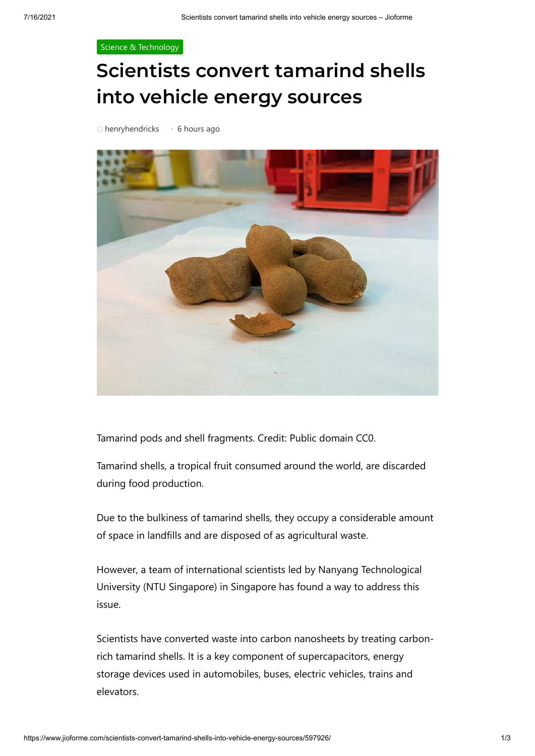## [Science & Technology](https://www.jioforme.com/category/science-technology/)

## **Scientists convert tamarind shells into vehicle energy sources**



Tamarind pods and shell fragments. Credit: Public domain CC0.

Tamarind shells, a tropical fruit consumed around the world, are discarded during food production.

Due to the bulkiness of tamarind shells, they occupy a considerable amount of space in landfills and are disposed of as agricultural waste.

However, a team of international scientists led by Nanyang Technological University (NTU Singapore) in Singapore has found a way to address this issue.

Scientists have converted waste into carbon nanosheets by treating carbonrich tamarind shells. It is a key component of supercapacitors, energy storage devices used in automobiles, buses, electric vehicles, trains and elevators.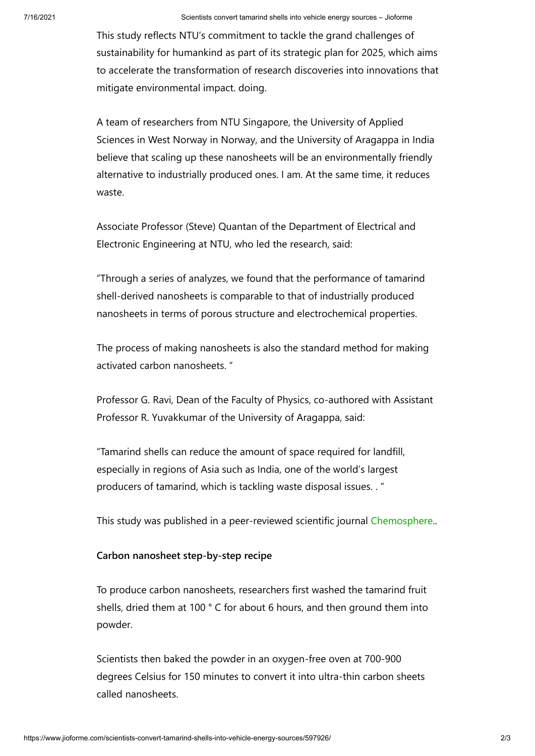This study reflects NTU's commitment to tackle the grand challenges of sustainability for humankind as part of its strategic plan for 2025, which aims to accelerate the transformation of research discoveries into innovations that mitigate environmental impact. doing.

A team of researchers from NTU Singapore, the University of Applied Sciences in West Norway in Norway, and the University of Aragappa in India believe that scaling up these nanosheets will be an environmentally friendly alternative to industrially produced ones. I am. At the same time, it reduces waste.

Associate Professor (Steve) Quantan of the Department of Electrical and Electronic Engineering at NTU, who led the research, said:

"Through a series of analyzes, we found that the performance of tamarind shell-derived nanosheets is comparable to that of industrially produced nanosheets in terms of porous structure and electrochemical properties.

The process of making nanosheets is also the standard method for making activated carbon nanosheets. "

Professor G. Ravi, Dean of the Faculty of Physics, co-authored with Assistant Professor R. Yuvakkumar of the University of Aragappa, said:

"Tamarind shells can reduce the amount of space required for landfill, especially in regions of Asia such as India, one of the world's largest producers of tamarind, which is tackling waste disposal issues. . "

This study was published in a peer-reviewed scientific journal [Chemosphere](https://doi.org/10.1016/j.chemosphere.2021.131033)..

## **Carbon nanosheet step-by-step recipe**

To produce carbon nanosheets, researchers first washed the tamarind fruit shells, dried them at 100 ° C for about 6 hours, and then ground them into powder.

Scientists then baked the powder in an oxygen-free oven at 700-900 degrees Celsius for 150 minutes to convert it into ultra-thin carbon sheets called nanosheets.